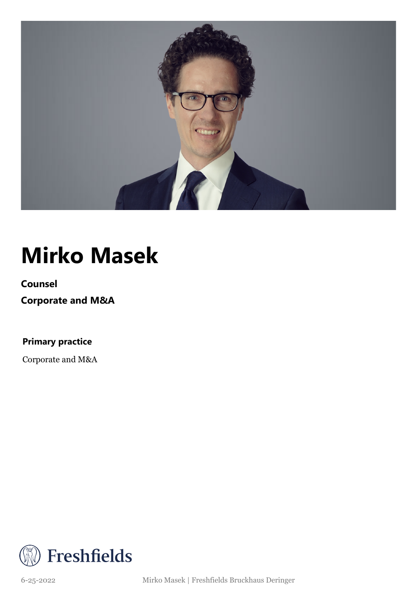

## **Mirko Masek**

**Counsel**

**Corporate and M&A**

**Primary practice**

Corporate and M&A



6-25-2022 Mirko Masek | Freshfields Bruckhaus Deringer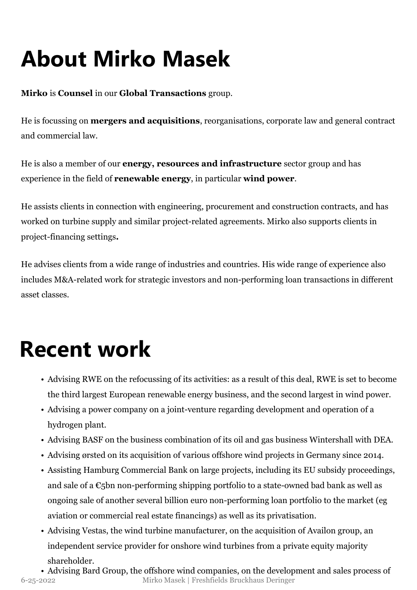# **About Mirko Masek**

**Mirko** is **Counsel** in our **Global Transactions** group.

He is focussing on **mergers and acquisitions**, reorganisations, corporate law and general contract and commercial law.

He is also a member of our **energy, resources and infrastructure** sector group and has experience in the field of **renewable energy**, in particular **wind power**.

He assists clients in connection with engineering, procurement and construction contracts, and has worked on turbine supply and similar project-related agreements. Mirko also supports clients in project-financing settings**.**

He advises clients from a wide range of industries and countries. His wide range of experience also includes M&A-related work for strategic investors and non-performing loan transactions in different asset classes.

### **Recent work**

- Advising RWE on the refocussing of its activities: as a result of this deal, RWE is set to become the third largest European renewable energy business, and the second largest in wind power.
- Advising a power company on a joint-venture regarding development and operation of a hydrogen plant.
- Advising BASF on the business combination of its oil and gas business Wintershall with DEA.
- Advising ørsted on its acquisition of various offshore wind projects in Germany since 2014.
- Assisting Hamburg Commercial Bank on large projects, including its EU subsidy proceedings, and sale of a  $\epsilon$ <sub>5</sub>bn non-performing shipping portfolio to a state-owned bad bank as well as ongoing sale of another several billion euro non-performing loan portfolio to the market (eg aviation or commercial real estate financings) as well as its privatisation.
- Advising Vestas, the wind turbine manufacturer, on the acquisition of Availon group, an independent service provider for onshore wind turbines from a private equity majority shareholder.
- Advising Bard Group, the offshore wind companies, on the development and sales process of 6-25-2022 Mirko Masek | Freshfields Bruckhaus Deringer